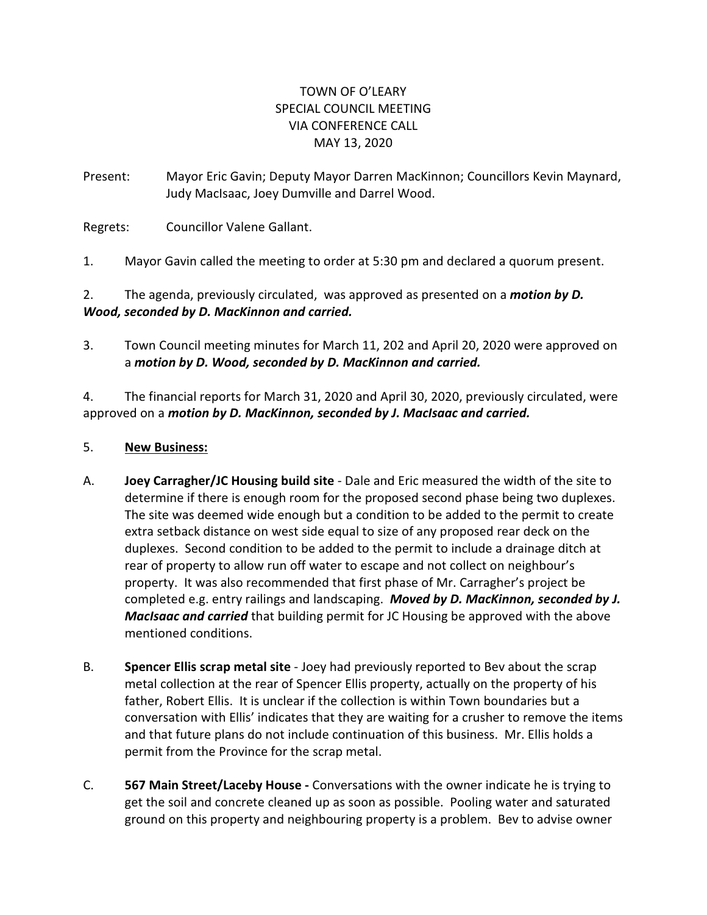## TOWN OF O'LEARY SPECIAL COUNCIL MEETING VIA CONFERENCE CALL MAY 13, 2020

Present: Mayor Eric Gavin; Deputy Mayor Darren MacKinnon; Councillors Kevin Maynard, Judy MacIsaac, Joey Dumville and Darrel Wood.

Regrets: Councillor Valene Gallant.

1. Mayor Gavin called the meeting to order at 5:30 pm and declared a quorum present.

## 2. The agenda, previously circulated, was approved as presented on a *motion by D. Wood, seconded by D. MacKinnon and carried.*

3. Town Council meeting minutes for March 11, 202 and April 20, 2020 were approved on a *motion by D. Wood, seconded by D. MacKinnon and carried.*

4. The financial reports for March 31, 2020 and April 30, 2020, previously circulated, were approved on a *motion by D. MacKinnon, seconded by J. MacIsaac and carried.*

## 5. **New Business:**

- A. **Joey Carragher/JC Housing build site**  Dale and Eric measured the width of the site to determine if there is enough room for the proposed second phase being two duplexes. The site was deemed wide enough but a condition to be added to the permit to create extra setback distance on west side equal to size of any proposed rear deck on the duplexes. Second condition to be added to the permit to include a drainage ditch at rear of property to allow run off water to escape and not collect on neighbour's property. It was also recommended that first phase of Mr. Carragher's project be completed e.g. entry railings and landscaping. *Moved by D. MacKinnon, seconded by J. MacIsaac and carried* that building permit for JC Housing be approved with the above mentioned conditions.
- B. **Spencer Ellis scrap metal site** Joey had previously reported to Bev about the scrap metal collection at the rear of Spencer Ellis property, actually on the property of his father, Robert Ellis. It is unclear if the collection is within Town boundaries but a conversation with Ellis' indicates that they are waiting for a crusher to remove the items and that future plans do not include continuation of this business. Mr. Ellis holds a permit from the Province for the scrap metal.
- C. **567 Main Street/Laceby House -** Conversations with the owner indicate he is trying to get the soil and concrete cleaned up as soon as possible. Pooling water and saturated ground on this property and neighbouring property is a problem. Bev to advise owner